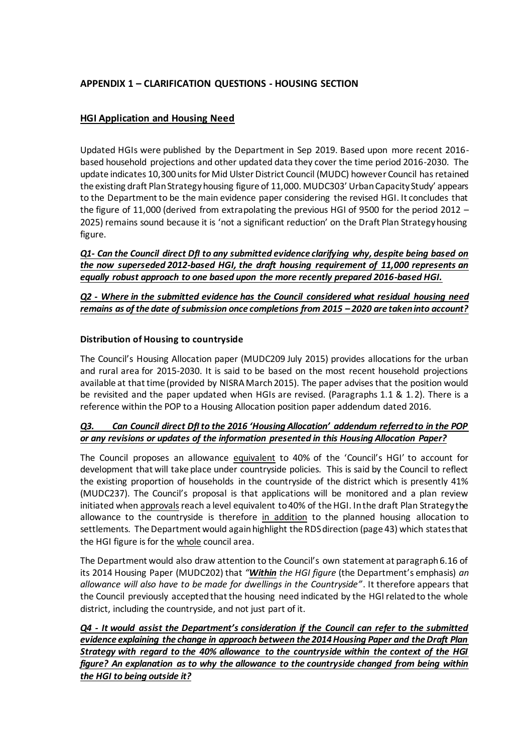# **APPENDIX 1 – CLARIFICATION QUESTIONS - HOUSING SECTION**

# **HGI Application and Housing Need**

Updated HGIs were published by the Department in Sep 2019. Based upon more recent 2016 based household projections and other updated data they cover the time period 2016-2030. The update indicates 10,300 units for Mid Ulster District Council (MUDC) however Council has retained the existing draft Plan Strategy housing figure of 11,000. MUDC303' Urban Capacity Study' appears to the Department to be the main evidence paper considering the revised HGI. It concludes that the figure of 11,000 (derived from extrapolating the previous HGI of 9500 for the period 2012 – 2025) remains sound because it is 'not a significant reduction' on the Draft Plan Strategy housing figure.

*Q1- Can the Council direct DfI to any submitted evidence clarifying why, despite being based on the now superseded 2012-based HGI, the draft housing requirement of 11,000 represents an equally robust approach to one based upon the more recently prepared 2016-based HGI.* 

### *Q2 - Where in the submitted evidence has the Council considered what residual housing need remains as of the date of submission once completions from 2015 – 2020 are taken into account?*

### **Distribution of Housing to countryside**

The Council's Housing Allocation paper (MUDC209 July 2015) provides allocations for the urban and rural area for 2015-2030. It is said to be based on the most recent household projections available at that time (provided by NISRA March 2015). The paper advises that the position would be revisited and the paper updated when HGIs are revised. (Paragraphs 1.1 & 1.2). There is a reference within the POP to a Housing Allocation position paper addendum dated 2016.

# *Q3. Can Council direct DfI to the 2016 'Housing Allocation' addendum referred to in the POP or any revisions or updates of the information presented in this Housing Allocation Paper?*

The Council proposes an allowance equivalent to 40% of the 'Council's HGI' to account for development that will take place under countryside policies. This is said by the Council to reflect the existing proportion of households in the countryside of the district which is presently 41% (MUDC237). The Council's proposal is that applications will be monitored and a plan review initiated when approvals reach a level equivalent to 40% of the HGI. In the draft Plan Strategy the allowance to the countryside is therefore in addition to the planned housing allocation to settlements. The Department would again highlight the RDS direction (page 43) which states that the HGI figure is for the whole council area.

The Department would also draw attention to the Council's own statement at paragraph 6.16 of its 2014 Housing Paper (MUDC202) that *"Within the HGI figure* (the Department's emphasis) *an allowance will also have to be made for dwellings in the Countryside"*. It therefore appears that the Council previously accepted that the housing need indicated by the HGI related to the whole district, including the countryside, and not just part of it.

*Q4 - It would assist the Department's consideration if the Council can refer to the submitted evidence explaining the change in approach between the 2014 Housing Paper and the Draft Plan Strategy with regard to the 40% allowance to the countryside within the context of the HGI figure? An explanation as to why the allowance to the countryside changed from being within the HGI to being outside it?*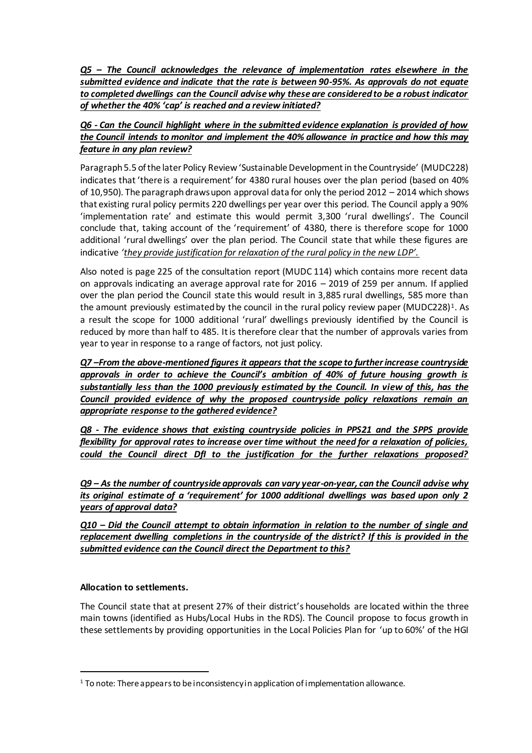*Q5 – The Council acknowledges the relevance of implementation rates elsewhere in the submitted evidence and indicate that the rate is between 90-95%. As approvals do not equate to completed dwellings can the Council advise why these are considered to be a robust indicator of whether the 40% 'cap' is reached and a review initiated?*

## *Q6 - Can the Council highlight where in the submitted evidence explanation is provided of how the Council intends to monitor and implement the 40% allowance in practice and how this may feature in any plan review?*

Paragraph 5.5 of the later Policy Review 'Sustainable Development in the Countryside' (MUDC228) indicates that 'there is a requirement' for 4380 rural houses over the plan period (based on 40% of 10,950). The paragraph draws upon approval data for only the period 2012 – 2014 which shows that existing rural policy permits 220 dwellings per year over this period. The Council apply a 90% 'implementation rate' and estimate this would permit 3,300 'rural dwellings'. The Council conclude that, taking account of the 'requirement' of 4380, there is therefore scope for 1000 additional 'rural dwellings' over the plan period. The Council state that while these figures are indicative *'they provide justification for relaxation of the rural policy in the new LDP'.*

Also noted is page 225 of the consultation report (MUDC 114) which contains more recent data on approvals indicating an average approval rate for 2016 – 2019 of 259 per annum. If applied over the plan period the Council state this would result in 3,885 rural dwellings, 585 more than the amount previously estimated by the council in the rural policy review paper (MUDC228)<sup>1</sup>. As a result the scope for 1000 additional 'rural' dwellings previously identified by the Council is reduced by more than half to 485. It is therefore clear that the number of approvals varies from year to year in response to a range of factors, not just policy.

*Q7 –From the above-mentioned figures it appears that the scope to further increase countryside approvals in order to achieve the Council's ambition of 40% of future housing growth is substantially less than the 1000 previously estimated by the Council. In view of this, has the Council provided evidence of why the proposed countryside policy relaxations remain an appropriate response to the gathered evidence?*

*Q8 - The evidence shows that existing countryside policies in PPS21 and the SPPS provide flexibility for approval rates to increase over time without the need for a relaxation of policies, could the Council direct DfI to the justification for the further relaxations proposed?*

*Q9 – As the number of countryside approvals can vary year-on-year, can the Council advise why its original estimate of a 'requirement' for 1000 additional dwellings was based upon only 2 years of approval data?*

*Q10 – Did the Council attempt to obtain information in relation to the number of single and replacement dwelling completions in the countryside of the district? If this is provided in the submitted evidence can the Council direct the Department to this?*

# **Allocation to settlements.**

 $\overline{a}$ 

The Council state that at present 27% of their district's households are located within the three main towns (identified as Hubs/Local Hubs in the RDS). The Council propose to focus growth in these settlements by providing opportunities in the Local Policies Plan for 'up to 60%' of the HGI

<sup>1</sup> To note: There appears to be inconsistency in application of implementation allowance.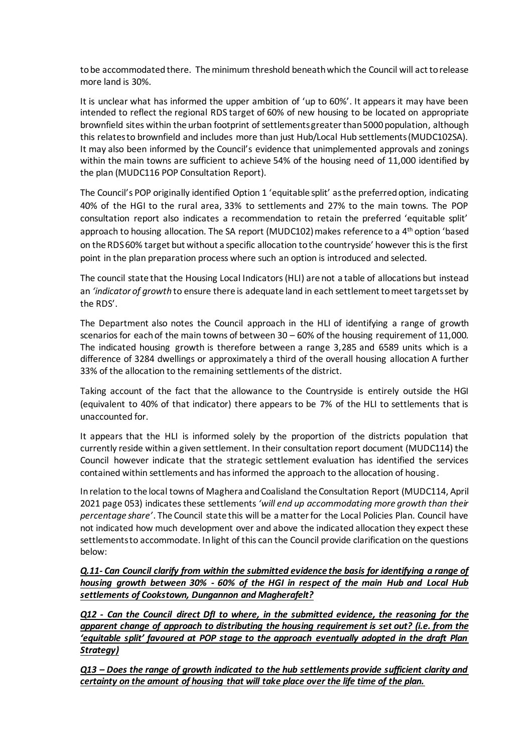to be accommodated there. The minimum threshold beneath which the Council will act to release more land is 30%.

It is unclear what has informed the upper ambition of 'up to 60%'. It appears it may have been intended to reflect the regional RDS target of 60% of new housing to be located on appropriate brownfield sites within the urban footprint of settlements greater than 5000 population, although this relates to brownfield and includes more than just Hub/Local Hub settlements (MUDC102SA). It may also been informed by the Council's evidence that unimplemented approvals and zonings within the main towns are sufficient to achieve 54% of the housing need of 11,000 identified by the plan (MUDC116 POP Consultation Report).

The Council's POP originally identified Option 1 'equitable split' as the preferred option, indicating 40% of the HGI to the rural area, 33% to settlements and 27% to the main towns. The POP consultation report also indicates a recommendation to retain the preferred 'equitable split' approach to housing allocation. The SA report (MUDC102) makes reference to a 4<sup>th</sup> option 'based on the RDS 60% target but without a specific allocation to the countryside' however this is the first point in the plan preparation process where such an option is introduced and selected.

The council state that the Housing Local Indicators (HLI) are not a table of allocations but instead an *'indicator of growth* to ensure there is adequate land in each settlement to meet targets set by the RDS'.

The Department also notes the Council approach in the HLI of identifying a range of growth scenarios for each of the main towns of between 30 – 60% of the housing requirement of 11,000. The indicated housing growth is therefore between a range 3,285 and 6589 units which is a difference of 3284 dwellings or approximately a third of the overall housing allocation A further 33% of the allocation to the remaining settlements of the district.

Taking account of the fact that the allowance to the Countryside is entirely outside the HGI (equivalent to 40% of that indicator) there appears to be 7% of the HLI to settlements that is unaccounted for.

It appears that the HLI is informed solely by the proportion of the districts population that currently reside within a given settlement. In their consultation report document (MUDC114) the Council however indicate that the strategic settlement evaluation has identified the services contained within settlements and has informed the approach to the allocation of housing.

In relation to the local towns of Maghera and Coalisland the Consultation Report (MUDC114, April 2021 page 053) indicates these settlements *'will end up accommodating more growth than their percentage share'*. The Council state this will be a matter for the Local Policies Plan. Council have not indicated how much development over and above the indicated allocation they expect these settlements to accommodate. In light of this can the Council provide clarification on the questions below:

*Q.11- Can Council clarify from within the submitted evidence the basis for identifying a range of housing growth between 30% - 60% of the HGI in respect of the main Hub and Local Hub settlements of Cookstown, Dungannon and Magherafelt?* 

*Q12 - Can the Council direct DfI to where, in the submitted evidence, the reasoning for the apparent change of approach to distributing the housing requirement is set out? (i.e. from the 'equitable split' favoured at POP stage to the approach eventually adopted in the draft Plan Strategy)*

*Q13 – Does the range of growth indicated to the hub settlements provide sufficient clarity and certainty on the amount of housing that will take place over the life time of the plan.*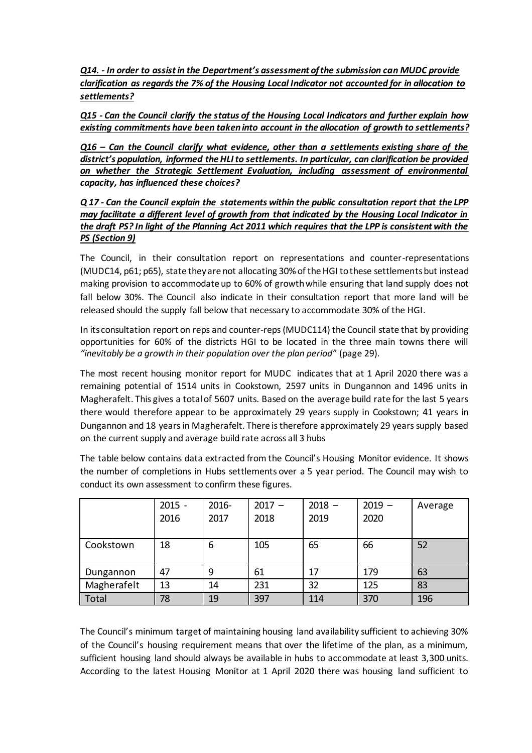*Q14. - In order to assist in the Department's assessment of the submission can MUDC provide clarification as regards the 7% of the Housing Local Indicator not accounted for in allocation to settlements?*

*Q15 - Can the Council clarify the status of the Housing Local Indicators and further explain how existing commitments have been taken into account in the allocation of growth to settlements?*

*Q16 – Can the Council clarify what evidence, other than a settlements existing share of the district's population, informed the HLI to settlements. In particular, can clarification be provided on whether the Strategic Settlement Evaluation, including assessment of environmental capacity, has influenced these choices?*

*Q 17 - Can the Council explain the statements within the public consultation report that the LPP may facilitate a different level of growth from that indicated by the Housing Local Indicator in the draft PS? In light of the Planning Act 2011 which requires that the LPP is consistent with the PS (Section 9)* 

The Council, in their consultation report on representations and counter-representations (MUDC14, p61; p65), state they are not allocating 30% of the HGI to these settlements but instead making provision to accommodate up to 60% of growth while ensuring that land supply does not fall below 30%. The Council also indicate in their consultation report that more land will be released should the supply fall below that necessary to accommodate 30% of the HGI.

In its consultation report on reps and counter-reps(MUDC114) the Council state that by providing opportunities for 60% of the districts HGI to be located in the three main towns there will *"inevitably be a growth in their population over the plan period*" (page 29).

The most recent housing monitor report for MUDC indicates that at 1 April 2020 there was a remaining potential of 1514 units in Cookstown, 2597 units in Dungannon and 1496 units in Magherafelt. This gives a total of 5607 units. Based on the average build rate for the last 5 years there would therefore appear to be approximately 29 years supply in Cookstown; 41 years in Dungannon and 18 years in Magherafelt. There is therefore approximately 29 years supply based on the current supply and average build rate across all 3 hubs

The table below contains data extracted from the Council's Housing Monitor evidence. It shows the number of completions in Hubs settlements over a 5 year period. The Council may wish to conduct its own assessment to confirm these figures.

|             | $2015 -$<br>2016 | 2016-<br>2017 | $2017 -$<br>2018 | $2018 -$<br>2019 | $2019 -$<br>2020 | Average |
|-------------|------------------|---------------|------------------|------------------|------------------|---------|
| Cookstown   | 18               | 6             | 105              | 65               | 66               | 52      |
| Dungannon   | 47               | 9             | 61               | 17               | 179              | 63      |
| Magherafelt | 13               | 14            | 231              | 32               | 125              | 83      |
| Total       | 78               | 19            | 397              | 114              | 370              | 196     |

The Council's minimum target of maintaining housing land availability sufficient to achieving 30% of the Council's housing requirement means that over the lifetime of the plan, as a minimum, sufficient housing land should always be available in hubs to accommodate at least 3,300 units. According to the latest Housing Monitor at 1 April 2020 there was housing land sufficient to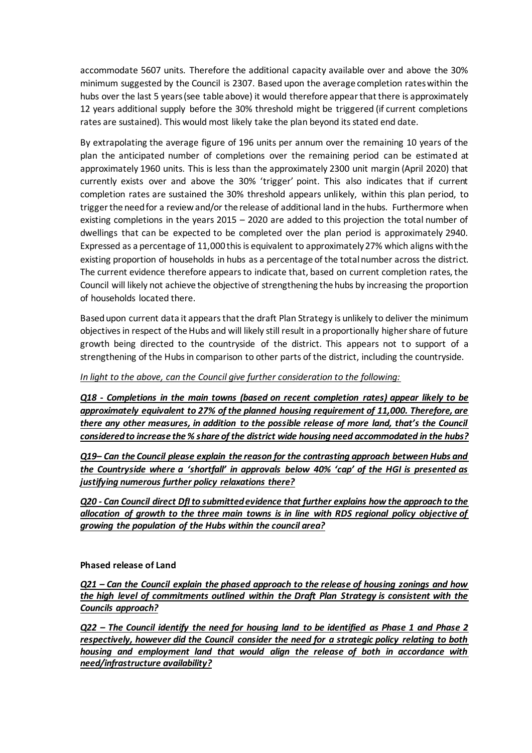accommodate 5607 units. Therefore the additional capacity available over and above the 30% minimum suggested by the Council is 2307. Based upon the average completion rates within the hubs over the last 5 years (see table above) it would therefore appear that there is approximately 12 years additional supply before the 30% threshold might be triggered (if current completions rates are sustained). This would most likely take the plan beyond its stated end date.

By extrapolating the average figure of 196 units per annum over the remaining 10 years of the plan the anticipated number of completions over the remaining period can be estimated at approximately 1960 units. This is less than the approximately 2300 unit margin (April 2020) that currently exists over and above the 30% 'trigger' point. This also indicates that if current completion rates are sustained the 30% threshold appears unlikely, within this plan period, to trigger the need for a review and/or the release of additional land in the hubs. Furthermore when existing completions in the years 2015 – 2020 are added to this projection the total number of dwellings that can be expected to be completed over the plan period is approximately 2940. Expressed as a percentage of 11,000 this is equivalent to approximately 27% which aligns with the existing proportion of households in hubs as a percentage of the total number across the district. The current evidence therefore appears to indicate that, based on current completion rates, the Council will likely not achieve the objective of strengthening the hubs by increasing the proportion of households located there.

Based upon current data it appears that the draft Plan Strategy is unlikely to deliver the minimum objectives in respect of the Hubs and will likely still result in a proportionally higher share of future growth being directed to the countryside of the district. This appears not to support of a strengthening of the Hubs in comparison to other parts of the district, including the countryside.

### *In light to the above, can the Council give further consideration to the following:*

*Q18 - Completions in the main towns (based on recent completion rates) appear likely to be approximately equivalent to 27% of the planned housing requirement of 11,000. Therefore, are there any other measures, in addition to the possible release of more land, that's the Council considered to increase the % share of the district wide housing need accommodated in the hubs?*

*Q19– Can the Council please explain the reason for the contrasting approach between Hubs and the Countryside where a 'shortfall' in approvals below 40% 'cap' of the HGI is presented as justifying numerous further policy relaxations there?*

*Q20 - Can Council direct DfI to submitted evidence that further explains how the approach to the allocation of growth to the three main towns is in line with RDS regional policy objective of growing the population of the Hubs within the council area?* 

#### **Phased release of Land**

*Q21 – Can the Council explain the phased approach to the release of housing zonings and how the high level of commitments outlined within the Draft Plan Strategy is consistent with the Councils approach?* 

*Q22 – The Council identify the need for housing land to be identified as Phase 1 and Phase 2 respectively, however did the Council consider the need for a strategic policy relating to both housing and employment land that would align the release of both in accordance with need/infrastructure availability?*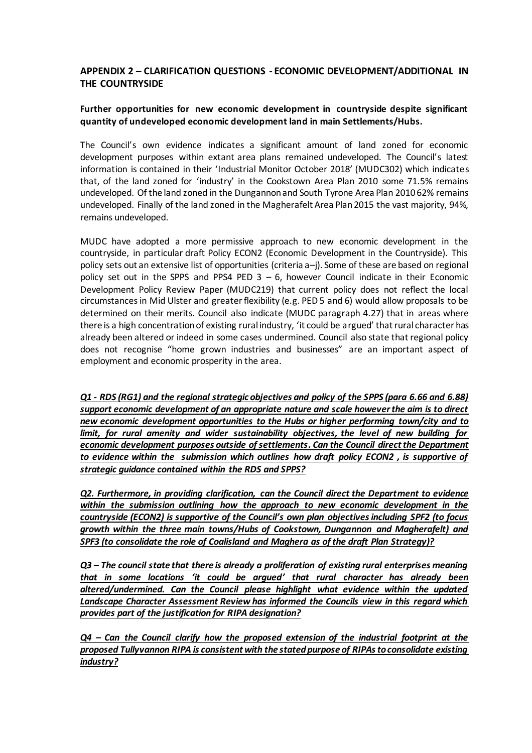## **APPENDIX 2 – CLARIFICATION QUESTIONS - ECONOMIC DEVELOPMENT/ADDITIONAL IN THE COUNTRYSIDE**

### **Further opportunities for new economic development in countryside despite significant quantity of undeveloped economic development land in main Settlements/Hubs.**

The Council's own evidence indicates a significant amount of land zoned for economic development purposes within extant area plans remained undeveloped. The Council's latest information is contained in their 'Industrial Monitor October 2018' (MUDC302) which indicates that, of the land zoned for 'industry' in the Cookstown Area Plan 2010 some 71.5% remains undeveloped. Of the land zoned in the Dungannon and South Tyrone Area Plan 2010 62% remains undeveloped. Finally of the land zoned in the Magherafelt Area Plan 2015 the vast majority, 94%, remains undeveloped.

MUDC have adopted a more permissive approach to new economic development in the countryside, in particular draft Policy ECON2 (Economic Development in the Countryside). This policy sets out an extensive list of opportunities (criteria a–j). Some of these are based on regional policy set out in the SPPS and PPS4 PED  $3 - 6$ , however Council indicate in their Economic Development Policy Review Paper (MUDC219) that current policy does not reflect the local circumstances in Mid Ulster and greater flexibility (e.g. PED 5 and 6) would allow proposals to be determined on their merits. Council also indicate (MUDC paragraph 4.27) that in areas where there is a high concentration of existing rural industry, 'it could be argued' that rural character has already been altered or indeed in some cases undermined. Council also state that regional policy does not recognise "home grown industries and businesses" are an important aspect of employment and economic prosperity in the area.

*Q1 - RDS (RG1) and the regional strategic objectives and policy of the SPPS (para 6.66 and 6.88) support economic development of an appropriate nature and scale however the aim is to direct new economic development opportunities to the Hubs or higher performing town/city and to*  limit, for rural amenity and wider sustainability objectives, the level of new building for *economic development purposes outside of settlements. Can the Council direct the Department to evidence within the submission which outlines how draft policy ECON2 , is supportive of strategic guidance contained within the RDS and SPPS?* 

*Q2. Furthermore, in providing clarification, can the Council direct the Department to evidence within the submission outlining how the approach to new economic development in the countryside (ECON2) is supportive of the Council's own plan objectives including SPF2 (to focus growth within the three main towns/Hubs of Cookstown, Dungannon and Magherafelt) and SPF3 (to consolidate the role of Coalisland and Maghera as of the draft Plan Strategy)?*

*Q3 – The council state that there is already a proliferation of existing rural enterprises meaning that in some locations 'it could be argued' that rural character has already been altered/undermined. Can the Council please highlight what evidence within the updated Landscape Character Assessment Review has informed the Councils view in this regard which provides part of the justification for RIPA designation?*

*Q4 – Can the Council clarify how the proposed extension of the industrial footprint at the proposed Tullyvannon RIPA is consistent with the stated purpose of RIPAs to consolidate existing industry?*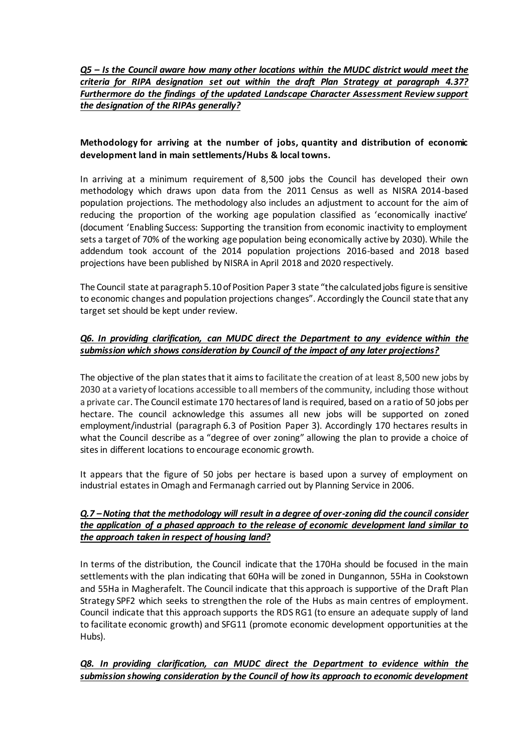*Q5 – Is the Council aware how many other locations within the MUDC district would meet the criteria for RIPA designation set out within the draft Plan Strategy at paragraph 4.37? Furthermore do the findings of the updated Landscape Character Assessment Review support the designation of the RIPAs generally?*

### **Methodology for arriving at the number of jobs, quantity and distribution of economic development land in main settlements/Hubs & local towns.**

In arriving at a minimum requirement of 8,500 jobs the Council has developed their own methodology which draws upon data from the 2011 Census as well as NISRA 2014-based population projections. The methodology also includes an adjustment to account for the aim of reducing the proportion of the working age population classified as 'economically inactive' (document 'Enabling Success: Supporting the transition from economic inactivity to employment sets a target of 70% of the working age population being economically active by 2030). While the addendum took account of the 2014 population projections 2016-based and 2018 based projections have been published by NISRA in April 2018 and 2020 respectively.

The Council state at paragraph 5.10 of Position Paper 3 state "the calculated jobs figure is sensitive to economic changes and population projections changes". Accordingly the Council state that any target set should be kept under review.

### *Q6. In providing clarification, can MUDC direct the Department to any evidence within the submission which shows consideration by Council of the impact of any later projections?*

The objective of the plan states that it aims to facilitate the creation of at least 8,500 new jobs by 2030 at a variety of locations accessible to all members of the community, including those without a private car. The Council estimate 170 hectares of land is required, based on a ratio of 50 jobs per hectare. The council acknowledge this assumes all new jobs will be supported on zoned employment/industrial (paragraph 6.3 of Position Paper 3). Accordingly 170 hectares results in what the Council describe as a "degree of over zoning" allowing the plan to provide a choice of sites in different locations to encourage economic growth.

It appears that the figure of 50 jobs per hectare is based upon a survey of employment on industrial estates in Omagh and Fermanagh carried out by Planning Service in 2006.

### *Q.7 –Noting that the methodology will result in a degree of over-zoning did the council consider the application of a phased approach to the release of economic development land similar to the approach taken in respect of housing land?*

In terms of the distribution, the Council indicate that the 170Ha should be focused in the main settlements with the plan indicating that 60Ha will be zoned in Dungannon, 55Ha in Cookstown and 55Ha in Magherafelt. The Council indicate that this approach is supportive of the Draft Plan Strategy SPF2 which seeks to strengthen the role of the Hubs as main centres of employment. Council indicate that this approach supports the RDS RG1 (to ensure an adequate supply of land to facilitate economic growth) and SFG11 (promote economic development opportunities at the Hubs).

### *Q8. In providing clarification, can MUDC direct the Department to evidence within the submission showing consideration by the Council of how its approach to economic development*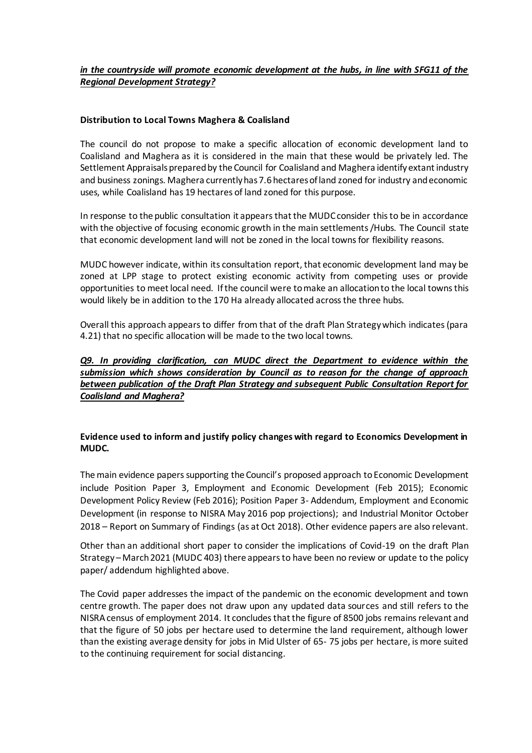### *in the countryside will promote economic development at the hubs, in line with SFG11 of the Regional Development Strategy?*

### **Distribution to Local Towns Maghera & Coalisland**

The council do not propose to make a specific allocation of economic development land to Coalisland and Maghera as it is considered in the main that these would be privately led. The Settlement Appraisals prepared by the Council for Coalisland and Maghera identify extant industry and business zonings. Maghera currently has 7.6 hectares of land zoned for industry and economic uses, while Coalisland has 19 hectares of land zoned for this purpose.

In response to the public consultation it appears that the MUDC consider this to be in accordance with the objective of focusing economic growth in the main settlements /Hubs. The Council state that economic development land will not be zoned in the local towns for flexibility reasons.

MUDC however indicate, within its consultation report, that economic development land may be zoned at LPP stage to protect existing economic activity from competing uses or provide opportunities to meet local need. If the council were to make an allocation to the local towns this would likely be in addition to the 170 Ha already allocated across the three hubs.

Overall this approach appears to differ from that of the draft Plan Strategy which indicates (para 4.21) that no specific allocation will be made to the two local towns.

### *Q9. In providing clarification, can MUDC direct the Department to evidence within the submission which shows consideration by Council as to reason for the change of approach between publication of the Draft Plan Strategy and subsequent Public Consultation Report for Coalisland and Maghera?*

### **Evidence used to inform and justify policy changes with regard to Economics Development in MUDC.**

The main evidence papers supporting the Council's proposed approach to Economic Development include Position Paper 3, Employment and Economic Development (Feb 2015); Economic Development Policy Review (Feb 2016); Position Paper 3- Addendum, Employment and Economic Development (in response to NISRA May 2016 pop projections); and Industrial Monitor October 2018 – Report on Summary of Findings (as at Oct 2018). Other evidence papers are also relevant.

Other than an additional short paper to consider the implications of Covid-19 on the draft Plan Strategy – March 2021 (MUDC 403) there appears to have been no review or update to the policy paper/ addendum highlighted above.

The Covid paper addresses the impact of the pandemic on the economic development and town centre growth. The paper does not draw upon any updated data sources and still refers to the NISRA census of employment 2014. It concludes that the figure of 8500 jobs remains relevant and that the figure of 50 jobs per hectare used to determine the land requirement, although lower than the existing average density for jobs in Mid Ulster of 65- 75 jobs per hectare, is more suited to the continuing requirement for social distancing.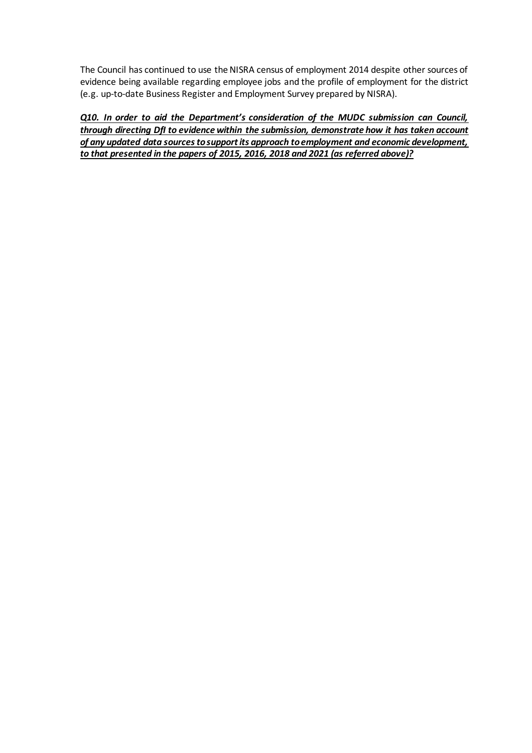The Council has continued to use the NISRA census of employment 2014 despite other sources of evidence being available regarding employee jobs and the profile of employment for the district (e.g. up-to-date Business Register and Employment Survey prepared by NISRA).

*Q10. In order to aid the Department's consideration of the MUDC submission can Council, through directing DfI to evidence within the submission, demonstrate how it has taken account of any updated data sources to support its approach to employment and economic development, to that presented in the papers of 2015, 2016, 2018 and 2021 (as referred above)?*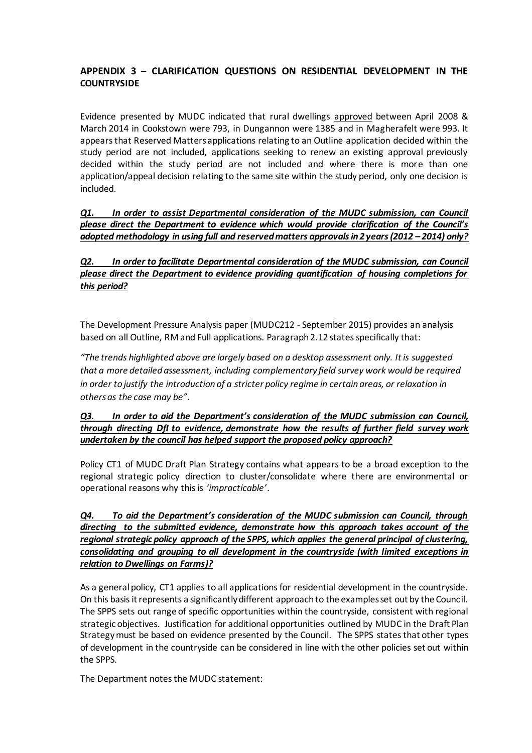# **APPENDIX 3 – CLARIFICATION QUESTIONS ON RESIDENTIAL DEVELOPMENT IN THE COUNTRYSIDE**

Evidence presented by MUDC indicated that rural dwellings approved between April 2008 & March 2014 in Cookstown were 793, in Dungannon were 1385 and in Magherafelt were 993. It appears that Reserved Matters applications relating to an Outline application decided within the study period are not included, applications seeking to renew an existing approval previously decided within the study period are not included and where there is more than one application/appeal decision relating to the same site within the study period, only one decision is included.

*Q1. In order to assist Departmental consideration of the MUDC submission, can Council please direct the Department to evidence which would provide clarification of the Council's adopted methodology in using full and reserved matters approvals in 2 years (2012 – 2014) only?* 

# *Q2. In order to facilitate Departmental consideration of the MUDC submission, can Council please direct the Department to evidence providing quantification of housing completions for this period?*

The Development Pressure Analysis paper (MUDC212 - September 2015) provides an analysis based on all Outline, RM and Full applications. Paragraph 2.12 states specifically that:

*"The trends highlighted above are largely based on a desktop assessment only. It is suggested that a more detailed assessment, including complementary field survey work would be required in order to justify the introduction of a stricter policy regime in certain areas, or relaxation in others as the case may be".*

### *Q3. In order to aid the Department's consideration of the MUDC submission can Council, through directing DfI to evidence, demonstrate how the results of further field survey work undertaken by the council has helped support the proposed policy approach?*

Policy CT1 of MUDC Draft Plan Strategy contains what appears to be a broad exception to the regional strategic policy direction to cluster/consolidate where there are environmental or operational reasons why this is *'impracticable'*.

*Q4. To aid the Department's consideration of the MUDC submission can Council, through directing to the submitted evidence, demonstrate how this approach takes account of the regional strategic policy approach of the SPPS, which applies the general principal of clustering, consolidating and grouping to all development in the countryside (with limited exceptions in relation to Dwellings on Farms)?*

As a general policy, CT1 applies to all applications for residential development in the countryside. On this basis it represents a significantly different approach to the examples set out by the Council. The SPPS sets out range of specific opportunities within the countryside, consistent with regional strategic objectives. Justification for additional opportunities outlined by MUDC in the Draft Plan Strategy must be based on evidence presented by the Council. The SPPS states that other types of development in the countryside can be considered in line with the other policies set out within the SPPS.

The Department notes the MUDC statement: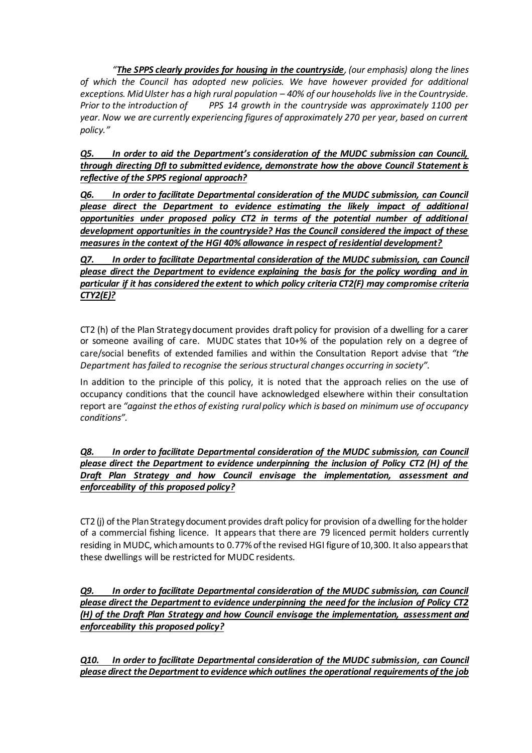*"The SPPS clearly provides for housing in the countryside, (our emphasis) along the lines of which the Council has adopted new policies. We have however provided for additional exceptions. Mid Ulster has a high rural population* – 40% of our households live in the Countryside.<br>Prior to the introduction of PPS 14 arowth in the countryside was approximately 1100 per *PPS 14 growth in the countryside was approximately 1100 per year. Now we are currently experiencing figures of approximately 270 per year, based on current policy."*

*Q5. In order to aid the Department's consideration of the MUDC submission can Council, through directing DfI to submitted evidence, demonstrate how the above Council Statement is reflective of the SPPS regional approach?*

*Q6. In order to facilitate Departmental consideration of the MUDC submission, can Council please direct the Department to evidence estimating the likely impact of additional opportunities under proposed policy CT2 in terms of the potential number of additional development opportunities in the countryside? Has the Council considered the impact of these measures in the context of the HGI 40% allowance in respect of residential development?*

*Q7. In order to facilitate Departmental consideration of the MUDC submission, can Council please direct the Department to evidence explaining the basis for the policy wording and in particular if it has considered the extent to which policy criteria CT2(F) may compromise criteria CTY2(E)?*

CT2 (h) of the Plan Strategy document provides draft policy for provision of a dwelling for a carer or someone availing of care. MUDC states that 10+% of the population rely on a degree of care/social benefits of extended families and within the Consultation Report advise that *"the Department has failed to recognise the serious structural changes occurring in society".* 

In addition to the principle of this policy, it is noted that the approach relies on the use of occupancy conditions that the council have acknowledged elsewhere within their consultation report are *"against the ethos of existing rural policy which is based on minimum use of occupancy conditions".*

### *Q8. In order to facilitate Departmental consideration of the MUDC submission, can Council please direct the Department to evidence underpinning the inclusion of Policy CT2 (H) of the Draft Plan Strategy and how Council envisage the implementation, assessment and enforceability of this proposed policy?*

CT2 (j) of the Plan Strategy document provides draft policy for provision of a dwelling for the holder of a commercial fishing licence. It appears that there are 79 licenced permit holders currently residing in MUDC, which amounts to 0.77% of the revised HGI figure of 10,300. It also appears that these dwellings will be restricted for MUDC residents.

*Q9. In order to facilitate Departmental consideration of the MUDC submission, can Council please direct the Department to evidence underpinning the need for the inclusion of Policy CT2 (H) of the Draft Plan Strategy and how Council envisage the implementation, assessment and enforceability this proposed policy?*

*Q10. In order to facilitate Departmental consideration of the MUDC submission, can Council please direct the Department to evidence which outlines the operational requirements of the job*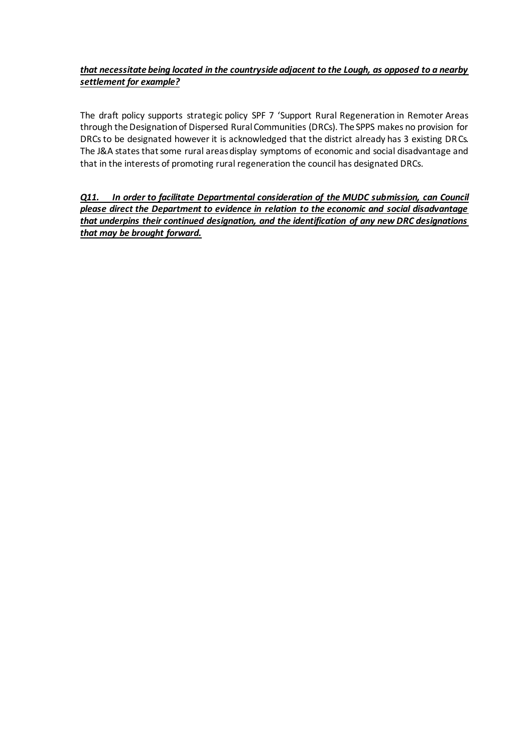# *that necessitate being located in the countryside adjacent to the Lough, as opposed to a nearby settlement for example?*

The draft policy supports strategic policy SPF 7 'Support Rural Regeneration in Remoter Areas through the Designation of Dispersed Rural Communities (DRCs). The SPPS makes no provision for DRCs to be designated however it is acknowledged that the district already has 3 existing DRCs. The J&A states that some rural areas display symptoms of economic and social disadvantage and that in the interests of promoting rural regeneration the council has designated DRCs.

*Q11. In order to facilitate Departmental consideration of the MUDC submission, can Council please direct the Department to evidence in relation to the economic and social disadvantage that underpins their continued designation, and the identification of any new DRC designations that may be brought forward.*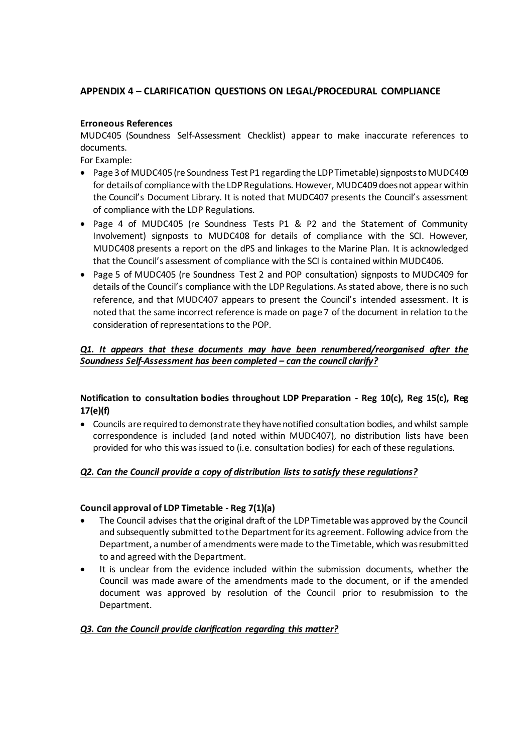# **APPENDIX 4 – CLARIFICATION QUESTIONS ON LEGAL/PROCEDURAL COMPLIANCE**

### **Erroneous References**

MUDC405 (Soundness Self-Assessment Checklist) appear to make inaccurate references to documents.

For Example:

- Page 3 of MUDC405 (re Soundness Test P1 regarding the LDP Timetable) signposts to MUDC409 for details of compliance with the LDP Regulations. However, MUDC409 does not appear within the Council's Document Library. It is noted that MUDC407 presents the Council's assessment of compliance with the LDP Regulations.
- Page 4 of MUDC405 (re Soundness Tests P1 & P2 and the Statement of Community Involvement) signposts to MUDC408 for details of compliance with the SCI. However, MUDC408 presents a report on the dPS and linkages to the Marine Plan. It is acknowledged that the Council's assessment of compliance with the SCI is contained within MUDC406.
- Page 5 of MUDC405 (re Soundness Test 2 and POP consultation) signposts to MUDC409 for details of the Council's compliance with the LDP Regulations. As stated above, there is no such reference, and that MUDC407 appears to present the Council's intended assessment. It is noted that the same incorrect reference is made on page 7 of the document in relation to the consideration of representations to the POP.

## *Q1. It appears that these documents may have been renumbered/reorganised after the Soundness Self-Assessment has been completed – can the council clarify?*

# **Notification to consultation bodies throughout LDP Preparation - Reg 10(c), Reg 15(c), Reg 17(e)(f)**

 Councils are required to demonstrate they have notified consultation bodies, and whilst sample correspondence is included (and noted within MUDC407), no distribution lists have been provided for who this was issued to (i.e. consultation bodies) for each of these regulations.

### *Q2. Can the Council provide a copy of distribution lists to satisfy these regulations?*

### **Council approval of LDP Timetable - Reg 7(1)(a)**

- The Council advises that the original draft of the LDP Timetable was approved by the Council and subsequently submitted to the Department for its agreement. Following advice from the Department, a number of amendments were made to the Timetable, which was resubmitted to and agreed with the Department.
- It is unclear from the evidence included within the submission documents, whether the Council was made aware of the amendments made to the document, or if the amended document was approved by resolution of the Council prior to resubmission to the Department.

### *Q3. Can the Council provide clarification regarding this matter?*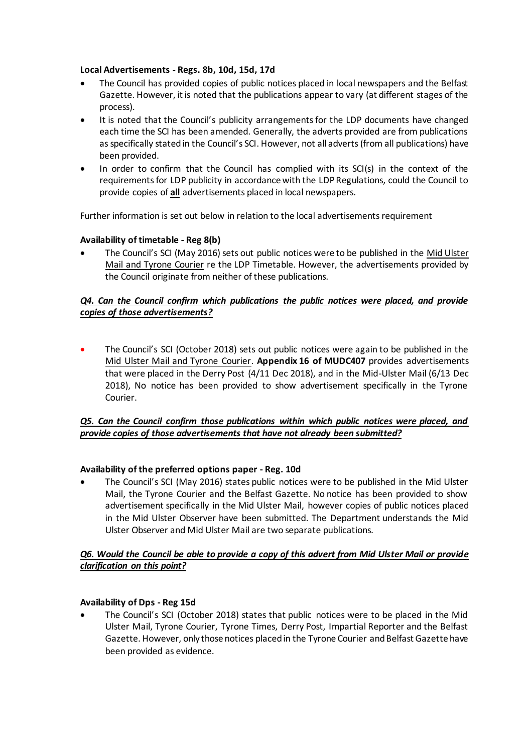### **Local Advertisements - Regs. 8b, 10d, 15d, 17d**

- The Council has provided copies of public notices placed in local newspapers and the Belfast Gazette. However, it is noted that the publications appear to vary (at different stages of the process).
- It is noted that the Council's publicity arrangements for the LDP documents have changed each time the SCI has been amended. Generally, the adverts provided are from publications as specifically stated in the Council's SCI. However, not all adverts (from all publications) have been provided.
- In order to confirm that the Council has complied with its SCI(s) in the context of the requirements for LDP publicity in accordance with the LDP Regulations, could the Council to provide copies of **all** advertisements placed in local newspapers.

Further information is set out below in relation to the local advertisements requirement

### **Availability of timetable - Reg 8(b)**

 The Council's SCI (May 2016) sets out public notices were to be published in the Mid Ulster Mail and Tyrone Courier re the LDP Timetable. However, the advertisements provided by the Council originate from neither of these publications.

## *Q4. Can the Council confirm which publications the public notices were placed, and provide copies of those advertisements?*

• The Council's SCI (October 2018) sets out public notices were again to be published in the Mid Ulster Mail and Tyrone Courier. **Appendix 16 of MUDC407** provides advertisements that were placed in the Derry Post (4/11 Dec 2018), and in the Mid-Ulster Mail (6/13 Dec 2018), No notice has been provided to show advertisement specifically in the Tyrone Courier.

# *Q5. Can the Council confirm those publications within which public notices were placed, and provide copies of those advertisements that have not already been submitted?*

### **Availability of the preferred options paper - Reg. 10d**

 The Council's SCI (May 2016) states public notices were to be published in the Mid Ulster Mail, the Tyrone Courier and the Belfast Gazette. No notice has been provided to show advertisement specifically in the Mid Ulster Mail, however copies of public notices placed in the Mid Ulster Observer have been submitted. The Department understands the Mid Ulster Observer and Mid Ulster Mail are two separate publications.

### *Q6. Would the Council be able to provide a copy of this advert from Mid Ulster Mail or provide clarification on this point?*

#### **Availability of Dps - Reg 15d**

 The Council's SCI (October 2018) states that public notices were to be placed in the Mid Ulster Mail, Tyrone Courier, Tyrone Times, Derry Post, Impartial Reporter and the Belfast Gazette. However, only those notices placed in the Tyrone Courier and Belfast Gazette have been provided as evidence.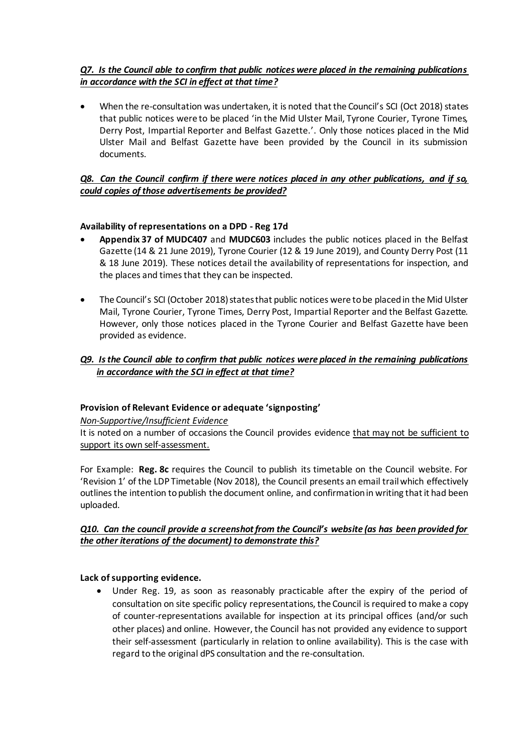# *Q7. Is the Council able to confirm that public notices were placed in the remaining publications in accordance with the SCI in effect at that time?*

 When the re-consultation was undertaken, it is noted that the Council's SCI (Oct 2018) states that public notices were to be placed 'in the Mid Ulster Mail, Tyrone Courier, Tyrone Times, Derry Post, Impartial Reporter and Belfast Gazette.'. Only those notices placed in the Mid Ulster Mail and Belfast Gazette have been provided by the Council in its submission documents.

## *Q8. Can the Council confirm if there were notices placed in any other publications, and if so, could copies of those advertisements be provided?*

### **Availability of representations on a DPD - Reg 17d**

- **Appendix 37 of MUDC407** and **MUDC603** includes the public notices placed in the Belfast Gazette (14 & 21 June 2019), Tyrone Courier (12 & 19 June 2019), and County Derry Post (11 & 18 June 2019). These notices detail the availability of representations for inspection, and the places and times that they can be inspected.
- The Council's SCI (October 2018) states that public notices were to be placed in the Mid Ulster Mail, Tyrone Courier, Tyrone Times, Derry Post, Impartial Reporter and the Belfast Gazette. However, only those notices placed in the Tyrone Courier and Belfast Gazette have been provided as evidence.

## *Q9. Is the Council able to confirm that public notices were placed in the remaining publications in accordance with the SCI in effect at that time?*

### **Provision of Relevant Evidence or adequate 'signposting'**

*Non-Supportive/Insufficient Evidence*

It is noted on a number of occasions the Council provides evidence that may not be sufficient to support its own self-assessment.

For Example: **Reg. 8c** requires the Council to publish its timetable on the Council website. For 'Revision 1' of the LDP Timetable (Nov 2018), the Council presents an email trail which effectively outlines the intention to publish the document online, and confirmation in writing that it had been uploaded.

### *Q10. Can the council provide a screenshot from the Council's website (as has been provided for the other iterations of the document) to demonstrate this?*

#### **Lack of supporting evidence.**

 Under Reg. 19, as soon as reasonably practicable after the expiry of the period of consultation on site specific policy representations, the Council is required to make a copy of counter-representations available for inspection at its principal offices (and/or such other places) and online. However, the Council has not provided any evidence to support their self-assessment (particularly in relation to online availability). This is the case with regard to the original dPS consultation and the re-consultation.